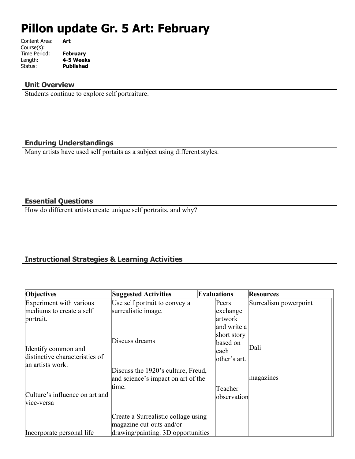# **Pillon update Gr. 5 Art: February**

| Content Area: | Art              |
|---------------|------------------|
| Course(s):    |                  |
| Time Period:  | <b>February</b>  |
| Length:       | 4-5 Weeks        |
| Status:       | <b>Published</b> |
|               |                  |

## **Unit Overview**

Students continue to explore self portraiture.

## **Enduring Understandings**

Many artists have used self portaits as a subject using different styles.

## **Essential Questions**

How do different artists create unique self portraits, and why?

# **Instructional Strategies & Learning Activities**

| Objectives                     | <b>Suggested Activities</b>         | <b>Evaluations</b> | <b>Resources</b>      |
|--------------------------------|-------------------------------------|--------------------|-----------------------|
| Experiment with various        | Use self portrait to convey a       | Peers              | Surrealism powerpoint |
| mediums to create a self       | surrealistic image.                 | exchange           |                       |
| portrait.                      |                                     | artwork            |                       |
|                                |                                     | and write a        |                       |
|                                |                                     | short story        |                       |
|                                | Discuss dreams                      | based on           |                       |
| Identify common and            |                                     | leach              | Dali                  |
| distinctive characteristics of |                                     | other's art.       |                       |
| an artists work.               | Discuss the 1920's culture, Freud,  |                    |                       |
|                                | and science's impact on art of the  |                    | magazines             |
|                                | tıme.                               |                    |                       |
| Culture's influence on art and |                                     | Teacher            |                       |
| vice-versa                     |                                     | observation        |                       |
|                                |                                     |                    |                       |
|                                | Create a Surrealistic collage using |                    |                       |
|                                | magazine cut-outs and/or            |                    |                       |
| Incorporate personal life      | drawing/painting. 3D opportunities  |                    |                       |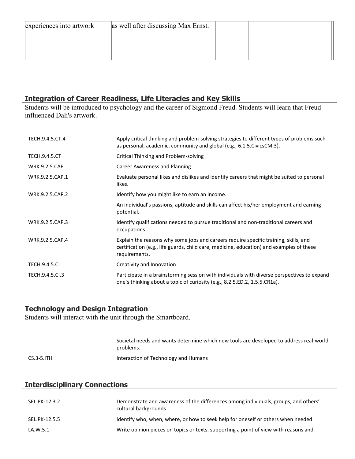| experiences into artwork | as well after discussing Max Ernst. |  |
|--------------------------|-------------------------------------|--|
|                          |                                     |  |
|                          |                                     |  |
|                          |                                     |  |

#### **Integration of Career Readiness, Life Literacies and Key Skills**

Students will be introduced to psychology and the career of Sigmond Freud. Students will learn that Freud influenced Dali's artwork.

| TECH.9.4.5.CT.4      | Apply critical thinking and problem-solving strategies to different types of problems such<br>as personal, academic, community and global (e.g., 6.1.5. Civics CM.3).                             |
|----------------------|---------------------------------------------------------------------------------------------------------------------------------------------------------------------------------------------------|
| <b>TECH.9.4.5.CT</b> | Critical Thinking and Problem-solving                                                                                                                                                             |
| <b>WRK.9.2.5.CAP</b> | <b>Career Awareness and Planning</b>                                                                                                                                                              |
| WRK.9.2.5.CAP.1      | Evaluate personal likes and dislikes and identify careers that might be suited to personal<br>likes.                                                                                              |
| WRK.9.2.5.CAP.2      | Identify how you might like to earn an income.                                                                                                                                                    |
|                      | An individual's passions, aptitude and skills can affect his/her employment and earning<br>potential.                                                                                             |
| WRK.9.2.5.CAP.3      | Identify qualifications needed to pursue traditional and non-traditional careers and<br>occupations.                                                                                              |
| WRK.9.2.5.CAP.4      | Explain the reasons why some jobs and careers require specific training, skills, and<br>certification (e.g., life guards, child care, medicine, education) and examples of these<br>requirements. |
| <b>TECH.9.4.5.CI</b> | Creativity and Innovation                                                                                                                                                                         |
| TECH.9.4.5.Cl.3      | Participate in a brainstorming session with individuals with diverse perspectives to expand<br>one's thinking about a topic of curiosity (e.g., 8.2.5.ED.2, 1.5.5.CR1a).                          |

#### **Technology and Design Integration**

Students will interact with the unit through the Smartboard.

|            | Societal needs and wants determine which new tools are developed to address real-world<br>problems. |
|------------|-----------------------------------------------------------------------------------------------------|
| CS.3-5.ITH | Interaction of Technology and Humans                                                                |

| <b>Interdisciplinary Connections</b> |                                                                                                             |  |
|--------------------------------------|-------------------------------------------------------------------------------------------------------------|--|
| SEL.PK-12.3.2                        | Demonstrate and awareness of the differences among individuals, groups, and others'<br>cultural backgrounds |  |
| SEL.PK-12.5.5                        | Identify who, when, where, or how to seek help for oneself or others when needed                            |  |
| LA.W.5.1                             | Write opinion pieces on topics or texts, supporting a point of view with reasons and                        |  |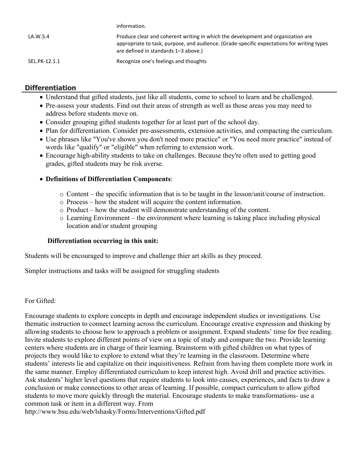|               | information.                                                                                                                                                                                                           |
|---------------|------------------------------------------------------------------------------------------------------------------------------------------------------------------------------------------------------------------------|
| LA.W.5.4      | Produce clear and coherent writing in which the development and organization are<br>appropriate to task, purpose, and audience. (Grade-specific expectations for writing types<br>are defined in standards 1-3 above.) |
| SEL.PK-12.1.1 | Recognize one's feelings and thoughts                                                                                                                                                                                  |

## **Differentiation**

- Understand that gifted students, just like all students, come to school to learn and be challenged.
- Pre-assess your students. Find out their areas of strength as well as those areas you may need to address before students move on.
- Consider grouping gifted students together for at least part of the school day.
- Plan for differentiation. Consider pre-assessments, extension activities, and compacting the curriculum.
- Use phrases like "You've shown you don't need more practice" or "You need more practice" instead of words like "qualify" or "eligible" when referring to extension work.
- Encourage high-ability students to take on challenges. Because they're often used to getting good grades, gifted students may be risk averse.

## **Definitions of Differentiation Components**:

- o Content the specific information that is to be taught in the lesson/unit/course of instruction.
- o Process how the student will acquire the content information.
- o Product how the student will demonstrate understanding of the content.
- o Learning Environment the environment where learning is taking place including physical location and/or student grouping

## **Differentiation occurring in this unit:**

Students will be encouraged to improve and challenge thier art skills as they proceed.

Simpler instructions and tasks will be assigned for struggling students

## For Gifted:

Encourage students to explore concepts in depth and encourage independent studies or investigations. Use thematic instruction to connect learning across the curriculum. Encourage creative expression and thinking by allowing students to choose how to approach a problem or assignment. Expand students' time for free reading. Invite students to explore different points of view on a topic of study and compare the two. Provide learning centers where students are in charge of their learning. Brainstorm with gifted children on what types of projects they would like to explore to extend what they're learning in the classroom. Determine where students' interests lie and capitalize on their inquisitiveness. Refrain from having them complete more work in the same manner. Employ differentiated curriculum to keep interest high. Avoid drill and practice activities. Ask students' higher level questions that require students to look into causes, experiences, and facts to draw a conclusion or make connections to other areas of learning. If possible, compact curriculum to allow gifted students to move more quickly through the material. Encourage students to make transformations- use a common task or item in a different way. From

http://www.bsu.edu/web/lshasky/Forms/Interventions/Gifted.pdf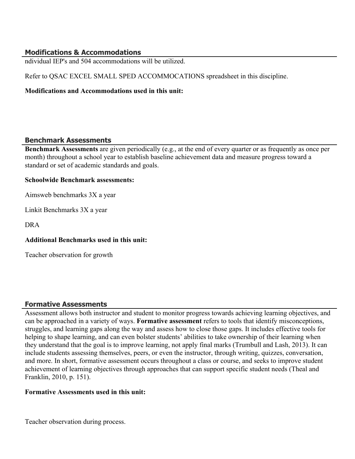## **Modifications & Accommodations**

ndividual IEP's and 504 accommodations will be utilized.

Refer to QSAC EXCEL SMALL SPED ACCOMMOCATIONS spreadsheet in this discipline.

#### **Modifications and Accommodations used in this unit:**

## **Benchmark Assessments**

**Benchmark Assessments** are given periodically (e.g., at the end of every quarter or as frequently as once per month) throughout a school year to establish baseline achievement data and measure progress toward a standard or set of academic standards and goals.

#### **Schoolwide Benchmark assessments:**

Aimsweb benchmarks 3X a year

Linkit Benchmarks 3X a year

DRA

## **Additional Benchmarks used in this unit:**

Teacher observation for growth

## **Formative Assessments**

Assessment allows both instructor and student to monitor progress towards achieving learning objectives, and can be approached in a variety of ways. **Formative assessment** refers to tools that identify misconceptions, struggles, and learning gaps along the way and assess how to close those gaps. It includes effective tools for helping to shape learning, and can even bolster students' abilities to take ownership of their learning when they understand that the goal is to improve learning, not apply final marks (Trumbull and Lash, 2013). It can include students assessing themselves, peers, or even the instructor, through writing, quizzes, conversation, and more. In short, formative assessment occurs throughout a class or course, and seeks to improve student achievement of learning objectives through approaches that can support specific student needs (Theal and Franklin, 2010, p. 151).

## **Formative Assessments used in this unit:**

Teacher observation during process.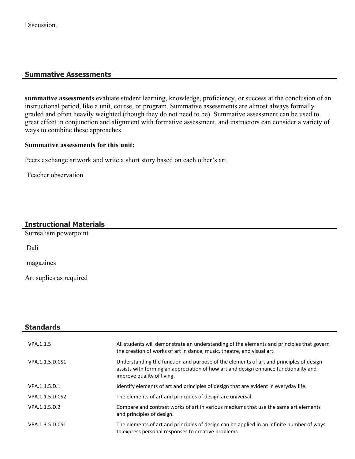## **Summative Assessments**

**summative assessments** evaluate student learning, knowledge, proficiency, or success at the conclusion of an instructional period, like a unit, course, or program. Summative assessments are almost always formally graded and often heavily weighted (though they do not need to be). Summative assessment can be used to great effect in conjunction and alignment with formative assessment, and instructors can consider a variety of ways to combine these approaches.

#### **Summative assessments for this unit:**

Peers exchange artwork and write a short story based on each other's art.

Teacher observation

## **Instructional Materials**

Surrealism powerpoint

Dali

magazines

Art suplies as required

| <b>Standards</b> |                                                                                                                                                                                                              |
|------------------|--------------------------------------------------------------------------------------------------------------------------------------------------------------------------------------------------------------|
| VPA.1.1.5        | All students will demonstrate an understanding of the elements and principles that govern<br>the creation of works of art in dance, music, theatre, and visual art.                                          |
| VPA.1.1.5.D.CS1  | Understanding the function and purpose of the elements of art and principles of design<br>assists with forming an appreciation of how art and design enhance functionality and<br>improve quality of living. |
| VPA.1.1.5.D.1    | Identify elements of art and principles of design that are evident in everyday life.                                                                                                                         |
| VPA.1.1.5.D.CS2  | The elements of art and principles of design are universal.                                                                                                                                                  |
| VPA.1.1.5.D.2    | Compare and contrast works of art in various mediums that use the same art elements<br>and principles of design.                                                                                             |
| VPA.1.3.5.D.CS1  | The elements of art and principles of design can be applied in an infinite number of ways<br>to express personal responses to creative problems.                                                             |